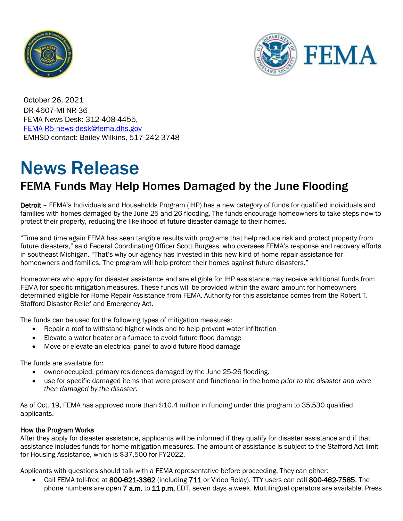



October 26, 2021 DR-4607-MI NR-36 FEMA News Desk: 312-408-4455, [FEMA-R5-news-desk@fema.dhs.gov](mailto:FEMA-R5-news-desk@fema.dhs.gov) EMHSD contact: Bailey Wilkins, 517-242-3748

## News Release

## FEMA Funds May Help Homes Damaged by the June Flooding

Detroit – FEMA's Individuals and Households Program (IHP) has a new category of funds for qualified individuals and families with homes damaged by the June 25 and 26 flooding. The funds encourage homeowners to take steps now to protect their property, reducing the likelihood of future disaster damage to their homes.

"Time and time again FEMA has seen tangible results with programs that help reduce risk and protect property from future disasters," said Federal Coordinating Officer Scott Burgess, who oversees FEMA's response and recovery efforts in southeast Michigan. "That's why our agency has invested in this new kind of home repair assistance for homeowners and families. The program will help protect their homes against future disasters."

Homeowners who apply for disaster assistance and are eligible for IHP assistance may receive additional funds from FEMA for specific mitigation measures. These funds will be provided within the award amount for homeowners determined eligible for Home Repair Assistance from FEMA. Authority for this assistance comes from the Robert T. Stafford Disaster Relief and Emergency Act.

The funds can be used for the following types of mitigation measures:

- Repair a roof to withstand higher winds and to help prevent water infiltration
- Elevate a water heater or a furnace to avoid future flood damage
- Move or elevate an electrical panel to avoid future flood damage

The funds are available for:

- owner-occupied, primary residences damaged by the June 25-26 flooding.
- use for specific damaged items that were present and functional in the home *prior to the disaster and were then damaged by the disaster*.

As of Oct. 19, FEMA has approved more than \$10.4 million in funding under this program to 35,530 qualified applicants.

## How the Program Works

After they apply for disaster assistance, applicants will be informed if they qualify for disaster assistance and if that assistance includes funds for home-mitigation measures. The amount of assistance is subject to the Stafford Act limit for Housing Assistance, which is \$37,500 for FY2022.

Applicants with questions should talk with a FEMA representative before proceeding. They can either:

• Call FEMA toll-free at 800-621-3362 (including 711 or Video Relay). TTY users can call 800-462-7585. The phone numbers are open 7 a.m. to 11 p.m. EDT, seven days a week. Multilingual operators are available. Press